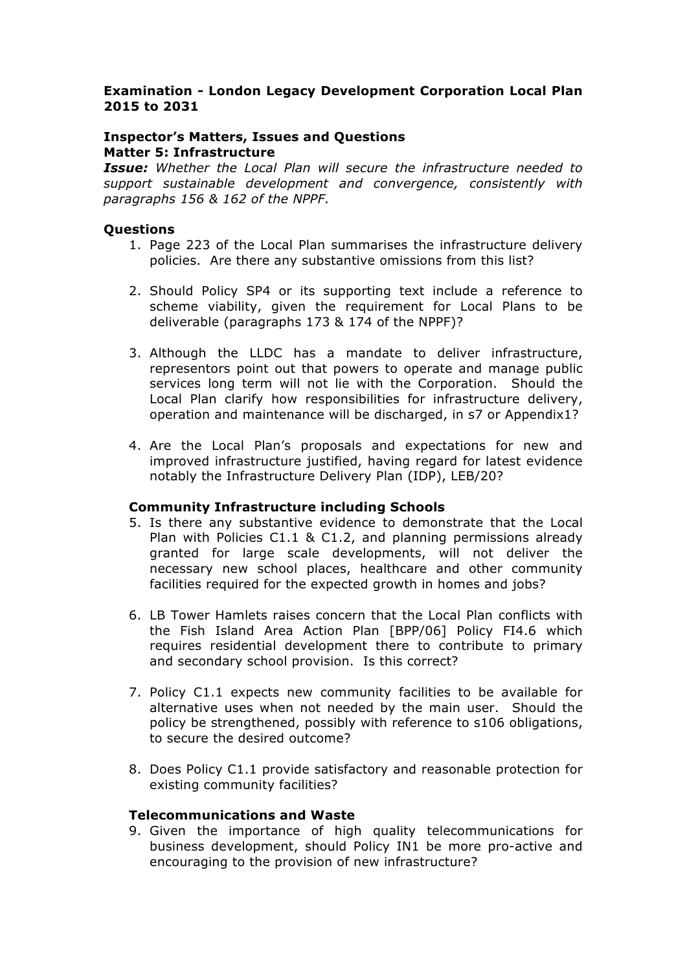# **Examination - London Legacy Development Corporation Local Plan 2015 to 2031**

# **Inspector's Matters, Issues and Questions Matter 5: Infrastructure**

*Issue: Whether the Local Plan will secure the infrastructure needed to support sustainable development and convergence, consistently with paragraphs 156 & 162 of the NPPF.*

## **Questions**

- 1. Page 223 of the Local Plan summarises the infrastructure delivery policies. Are there any substantive omissions from this list?
- 2. Should Policy SP4 or its supporting text include a reference to scheme viability, given the requirement for Local Plans to be deliverable (paragraphs 173 & 174 of the NPPF)?
- 3. Although the LLDC has a mandate to deliver infrastructure, representors point out that powers to operate and manage public services long term will not lie with the Corporation. Should the Local Plan clarify how responsibilities for infrastructure delivery, operation and maintenance will be discharged, in s7 or Appendix1?
- 4. Are the Local Plan's proposals and expectations for new and improved infrastructure justified, having regard for latest evidence notably the Infrastructure Delivery Plan (IDP), LEB/20?

#### **Community Infrastructure including Schools**

- 5. Is there any substantive evidence to demonstrate that the Local Plan with Policies C1.1 & C1.2, and planning permissions already granted for large scale developments, will not deliver the necessary new school places, healthcare and other community facilities required for the expected growth in homes and jobs?
- 6. LB Tower Hamlets raises concern that the Local Plan conflicts with the Fish Island Area Action Plan [BPP/06] Policy FI4.6 which requires residential development there to contribute to primary and secondary school provision. Is this correct?
- 7. Policy C1.1 expects new community facilities to be available for alternative uses when not needed by the main user. Should the policy be strengthened, possibly with reference to s106 obligations, to secure the desired outcome?
- 8. Does Policy C1.1 provide satisfactory and reasonable protection for existing community facilities?

#### **Telecommunications and Waste**

9. Given the importance of high quality telecommunications for business development, should Policy IN1 be more pro-active and encouraging to the provision of new infrastructure?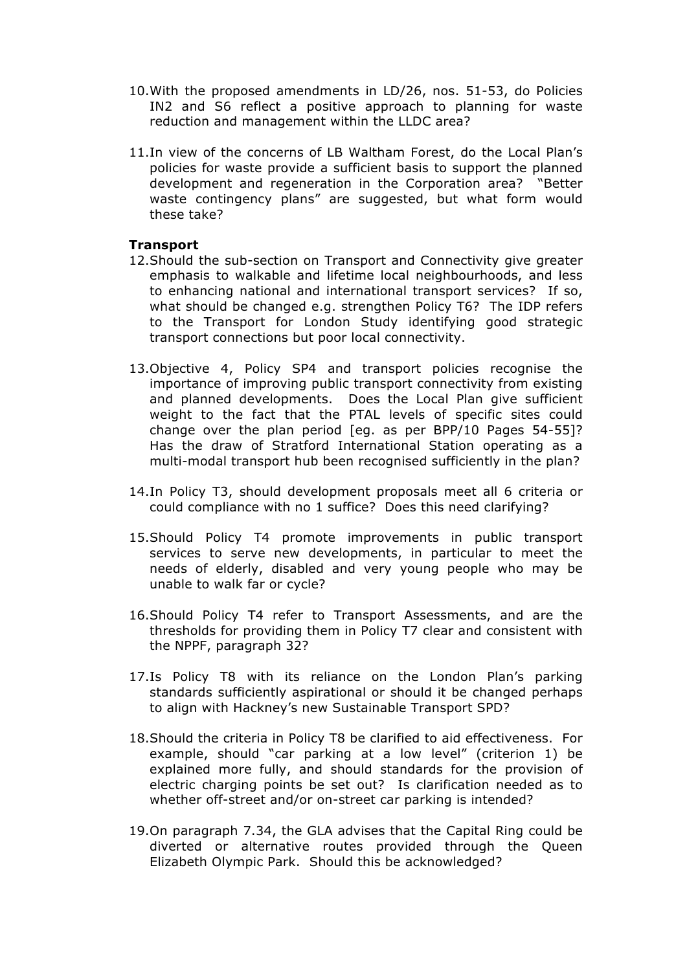- 10.With the proposed amendments in LD/26, nos. 51-53, do Policies IN2 and S6 reflect a positive approach to planning for waste reduction and management within the LLDC area?
- 11.In view of the concerns of LB Waltham Forest, do the Local Plan's policies for waste provide a sufficient basis to support the planned development and regeneration in the Corporation area? "Better waste contingency plans" are suggested, but what form would these take?

# **Transport**

- 12.Should the sub-section on Transport and Connectivity give greater emphasis to walkable and lifetime local neighbourhoods, and less to enhancing national and international transport services? If so, what should be changed e.g. strengthen Policy T6? The IDP refers to the Transport for London Study identifying good strategic transport connections but poor local connectivity.
- 13.Objective 4, Policy SP4 and transport policies recognise the importance of improving public transport connectivity from existing and planned developments. Does the Local Plan give sufficient weight to the fact that the PTAL levels of specific sites could change over the plan period [eg. as per BPP/10 Pages 54-55]? Has the draw of Stratford International Station operating as a multi-modal transport hub been recognised sufficiently in the plan?
- 14.In Policy T3, should development proposals meet all 6 criteria or could compliance with no 1 suffice? Does this need clarifying?
- 15.Should Policy T4 promote improvements in public transport services to serve new developments, in particular to meet the needs of elderly, disabled and very young people who may be unable to walk far or cycle?
- 16.Should Policy T4 refer to Transport Assessments, and are the thresholds for providing them in Policy T7 clear and consistent with the NPPF, paragraph 32?
- 17.Is Policy T8 with its reliance on the London Plan's parking standards sufficiently aspirational or should it be changed perhaps to align with Hackney's new Sustainable Transport SPD?
- 18.Should the criteria in Policy T8 be clarified to aid effectiveness. For example, should "car parking at a low level" (criterion 1) be explained more fully, and should standards for the provision of electric charging points be set out? Is clarification needed as to whether off-street and/or on-street car parking is intended?
- 19.On paragraph 7.34, the GLA advises that the Capital Ring could be diverted or alternative routes provided through the Queen Elizabeth Olympic Park. Should this be acknowledged?